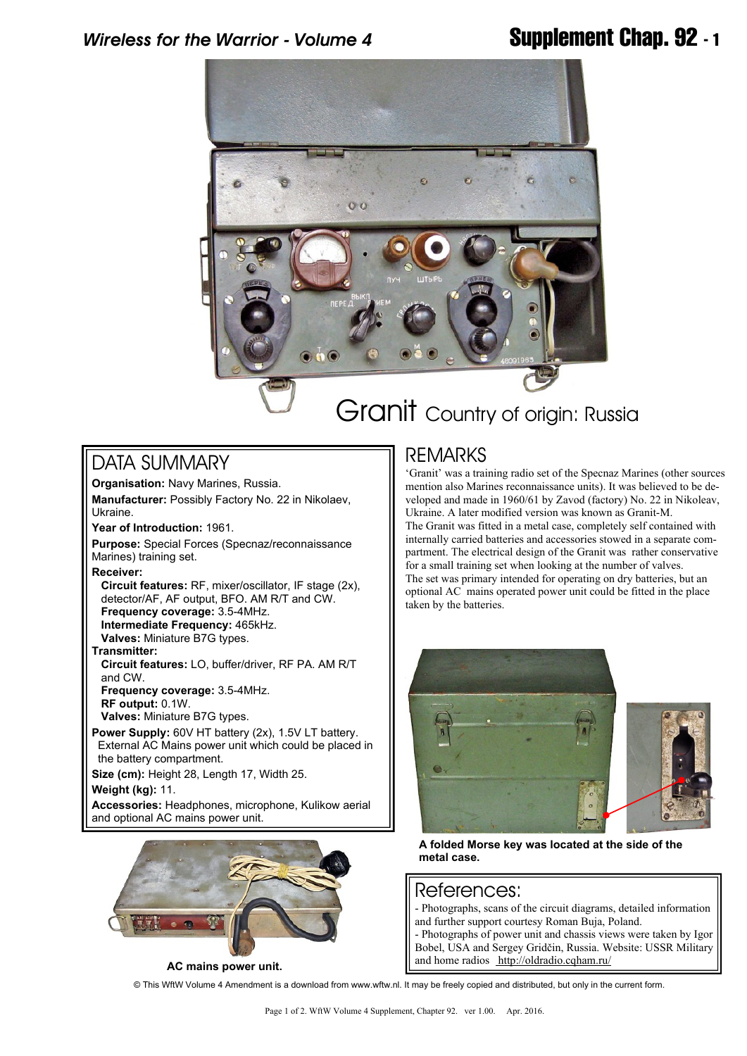

# Granit Country of origin: Russia

## DATA SUMMARY

**Organisation:** Navy Marines, Russia. **Manufacturer:** Possibly Factory No. 22 in Nikolaev, Ukraine.

**Year of Introduction:** 1961.

**Purpose:** Special Forces (Specnaz/reconnaissance Marines) training set.

**Receiver:**

 **Circuit features:** RF, mixer/oscillator, IF stage (2x), detector/AF, AF output, BFO. AM R/T and CW.  **Frequency coverage:** 3.5-4MHz.  **Intermediate Frequency:** 465kHz. **Valves:** Miniature B7G types.

**Transmitter:**

 **Circuit features:** LO, buffer/driver, RF PA. AM R/T and CW.  **Frequency coverage:** 3.5-4MHz.  **RF output:** 0.1W.  **Valves:** Miniature B7G types.

**Power Supply:** 60V HT battery (2x), 1.5V LT battery. External AC Mains power unit which could be placed in the battery compartment.

**Size (cm):** Height 28, Length 17, Width 25. **Weight (kg):** 11.

**Accessories:** Headphones, microphone, Kulikow aerial and optional AC mains power unit.



**AC mains power unit.**

### REMARKS

'Granit' was a training radio set of the Specnaz Marines (other sources mention also Marines reconnaissance units). It was believed to be developed and made in 1960/61 by Zavod (factory) No. 22 in Nikoleav, Ukraine. A later modified version was known as Granit-M. The Granit was fitted in a metal case, completely self contained with internally carried batteries and accessories stowed in a separate compartment. The electrical design of the Granit was rather conservative for a small training set when looking at the number of valves. The set was primary intended for operating on dry batteries, but an optional AC mains operated power unit could be fitted in the place taken by the batteries.



**A folded Morse key was located at the side of the metal case.**

#### References:

- Photographs, scans of the circuit diagrams, detailed information and further support courtesy Roman Buja, Poland.

- Photographs of power unit and chassis views were taken by Igor Bobel, USA and Sergey Gridčin, Russia. Website: USSR Military and home radios<http://oldradio.cqham.ru/>

© This WftW Volume 4 Amendment is a download from www.wftw.nl. It may be freely copied and distributed, but only in the current form.